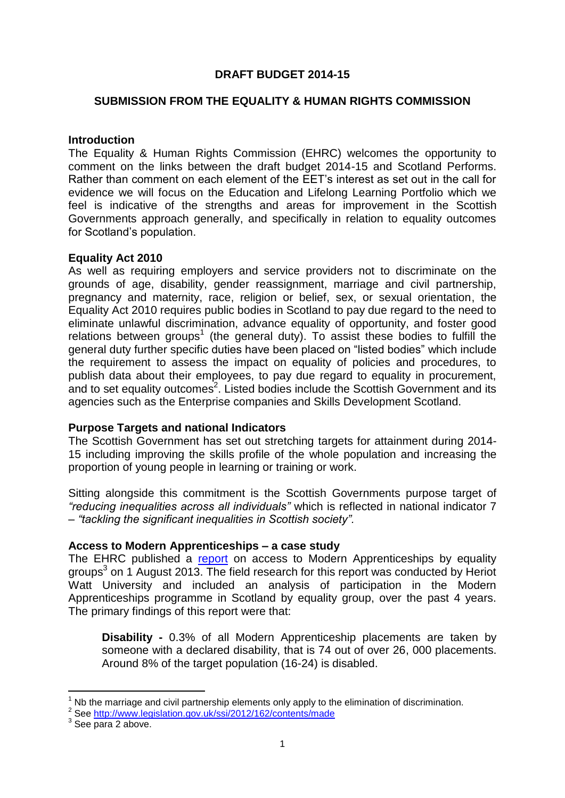### **DRAFT BUDGET 2014-15**

#### **SUBMISSION FROM THE EQUALITY & HUMAN RIGHTS COMMISSION**

#### **Introduction**

The Equality & Human Rights Commission (EHRC) welcomes the opportunity to comment on the links between the draft budget 2014-15 and Scotland Performs. Rather than comment on each element of the EET's interest as set out in the call for evidence we will focus on the Education and Lifelong Learning Portfolio which we feel is indicative of the strengths and areas for improvement in the Scottish Governments approach generally, and specifically in relation to equality outcomes for Scotland's population.

#### **Equality Act 2010**

As well as requiring employers and service providers not to discriminate on the grounds of age, disability, gender reassignment, marriage and civil partnership, pregnancy and maternity, race, religion or belief, sex, or sexual orientation, the Equality Act 2010 requires public bodies in Scotland to pay due regard to the need to eliminate unlawful discrimination, advance equality of opportunity, and foster good relations between groups<sup>1</sup> (the general duty). To assist these bodies to fulfill the general duty further specific duties have been placed on "listed bodies" which include the requirement to assess the impact on equality of policies and procedures, to publish data about their employees, to pay due regard to equality in procurement, and to set equality outcomes<sup>2</sup>. Listed bodies include the Scottish Government and its agencies such as the Enterprise companies and Skills Development Scotland.

## **Purpose Targets and national Indicators**

The Scottish Government has set out stretching targets for attainment during 2014- 15 including improving the skills profile of the whole population and increasing the proportion of young people in learning or training or work.

Sitting alongside this commitment is the Scottish Governments purpose target of *"reducing inequalities across all individuals"* which is reflected in national indicator 7 – *"tackling the significant [inequalities](http://www.scotland.gov.uk/About/scotPerforms/outcome/inequalities) in Scottish society".*

#### **Access to Modern Apprenticeships – a case study**

The EHRC published a [report](http://www.equalityhumanrights.com/scotland/research-in-scotland/modern-apprenticeships/) on access to Modern Apprenticeships by equality groups<sup>3</sup> on 1 August 2013. The field research for this report was conducted by Heriot Watt University and included an analysis of participation in the Modern Apprenticeships programme in Scotland by equality group, over the past 4 years. The primary findings of this report were that:

**Disability -** 0.3% of all Modern Apprenticeship placements are taken by someone with a declared disability, that is 74 out of over 26, 000 placements. Around 8% of the target population (16-24) is disabled.

-

Nb the marriage and civil partnership elements only apply to the elimination of discrimination.

<sup>&</sup>lt;sup>2</sup> See<http://www.legislation.gov.uk/ssi/2012/162/contents/made>

<sup>&</sup>lt;sup>3</sup> See para 2 above.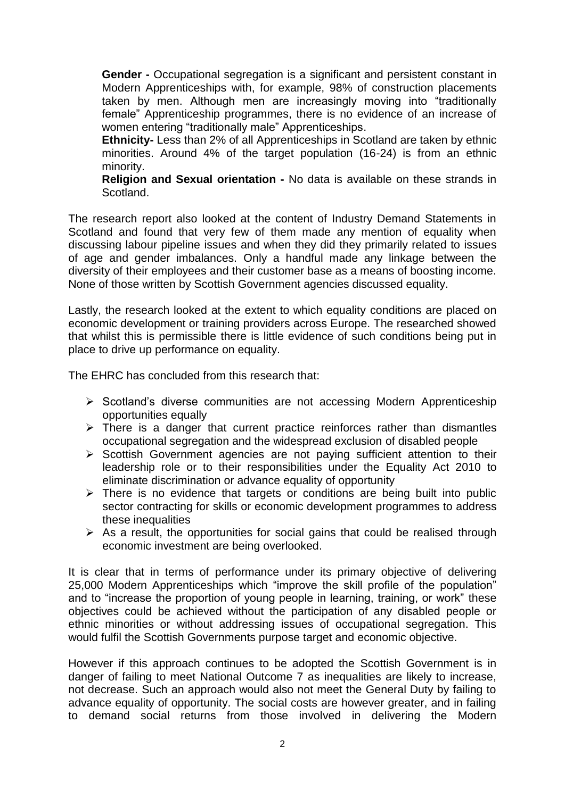**Gender -** Occupational segregation is a significant and persistent constant in Modern Apprenticeships with, for example, 98% of construction placements taken by men. Although men are increasingly moving into "traditionally female" Apprenticeship programmes, there is no evidence of an increase of women entering "traditionally male" Apprenticeships.

**Ethnicity-** Less than 2% of all Apprenticeships in Scotland are taken by ethnic minorities. Around 4% of the target population (16-24) is from an ethnic minority.

**Religion and Sexual orientation -** No data is available on these strands in Scotland.

The research report also looked at the content of Industry Demand Statements in Scotland and found that very few of them made any mention of equality when discussing labour pipeline issues and when they did they primarily related to issues of age and gender imbalances. Only a handful made any linkage between the diversity of their employees and their customer base as a means of boosting income. None of those written by Scottish Government agencies discussed equality.

Lastly, the research looked at the extent to which equality conditions are placed on economic development or training providers across Europe. The researched showed that whilst this is permissible there is little evidence of such conditions being put in place to drive up performance on equality.

The EHRC has concluded from this research that:

- $\triangleright$  Scotland's diverse communities are not accessing Modern Apprenticeship opportunities equally
- $\triangleright$  There is a danger that current practice reinforces rather than dismantles occupational segregation and the widespread exclusion of disabled people
- $\triangleright$  Scottish Government agencies are not paying sufficient attention to their leadership role or to their responsibilities under the Equality Act 2010 to eliminate discrimination or advance equality of opportunity
- $\triangleright$  There is no evidence that targets or conditions are being built into public sector contracting for skills or economic development programmes to address these inequalities
- $\triangleright$  As a result, the opportunities for social gains that could be realised through economic investment are being overlooked.

It is clear that in terms of performance under its primary objective of delivering 25,000 Modern Apprenticeships which "improve the skill profile of the population" and to "increase the proportion of young people in learning, training, or work" these objectives could be achieved without the participation of any disabled people or ethnic minorities or without addressing issues of occupational segregation. This would fulfil the Scottish Governments purpose target and economic objective.

However if this approach continues to be adopted the Scottish Government is in danger of failing to meet National Outcome 7 as inequalities are likely to increase, not decrease. Such an approach would also not meet the General Duty by failing to advance equality of opportunity. The social costs are however greater, and in failing to demand social returns from those involved in delivering the Modern